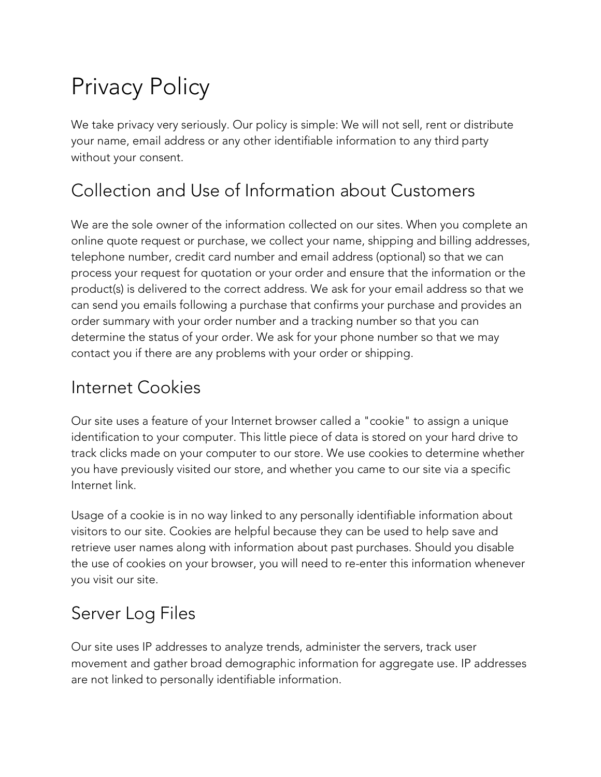# Privacy Policy

We take privacy very seriously. Our policy is simple: We will not sell, rent or distribute your name, email address or any other identifiable information to any third party without your consent.

### Collection and Use of Information about Customers

We are the sole owner of the information collected on our sites. When you complete an online quote request or purchase, we collect your name, shipping and billing addresses, telephone number, credit card number and email address (optional) so that we can process your request for quotation or your order and ensure that the information or the product(s) is delivered to the correct address. We ask for your email address so that we can send you emails following a purchase that confirms your purchase and provides an order summary with your order number and a tracking number so that you can determine the status of your order. We ask for your phone number so that we may contact you if there are any problems with your order or shipping.

#### Internet Cookies

Our site uses a feature of your Internet browser called a "cookie" to assign a unique identification to your computer. This little piece of data is stored on your hard drive to track clicks made on your computer to our store. We use cookies to determine whether you have previously visited our store, and whether you came to our site via a specific Internet link.

Usage of a cookie is in no way linked to any personally identifiable information about visitors to our site. Cookies are helpful because they can be used to help save and retrieve user names along with information about past purchases. Should you disable the use of cookies on your browser, you will need to re-enter this information whenever you visit our site.

## Server Log Files

Our site uses IP addresses to analyze trends, administer the servers, track user movement and gather broad demographic information for aggregate use. IP addresses are not linked to personally identifiable information.